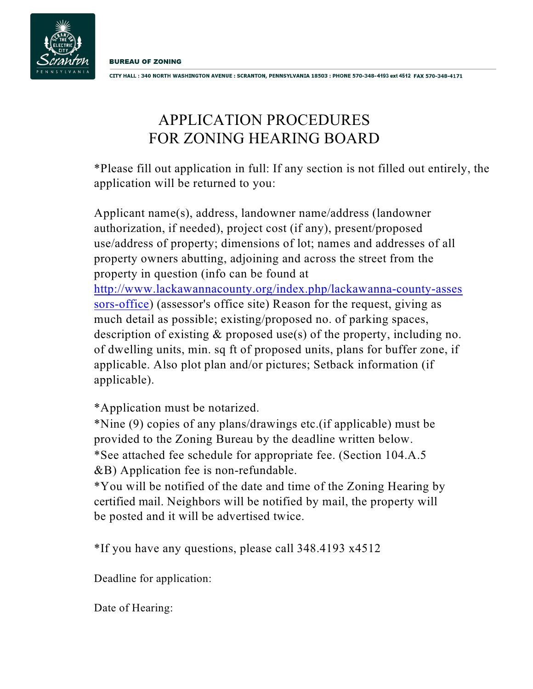

CITY HALL: 340 NORTH WASHINGTON AVENUE: SCRANTON, PENNSYLVANIA 18503: PHONE 570-348-4193 ext 4512 FAX 570-348-4171

## APPLICATION PROCEDURES FOR ZONING HEARING BOARD

\*Please fill out application in full: If any section is not filled out entirely, the application will be returned to you:

Applicant name(s), address, landowner name/address (landowner authorization, if needed), project cost (if any), present/proposed use/address of property; dimensions of lot; names and addresses of all property owners abutting, adjoining and across the street from the property in question (info can be found at [http://www.lackawannacounty.org/index.php/lackawanna-county-asses](#page-0-0) [sors-office](#page-0-0)) (assessor's office site) Reason for the request, giving as much detail as possible; existing/proposed no. of parking spaces, description of existing & proposed use(s) of the property, including no. of dwelling units, min. sq ft of proposed units, plans for buffer zone, if applicable. Also plot plan and/or pictures; Setback information (if applicable).

\*Application must be notarized.

\*Nine (9) copies of any plans/drawings etc.(if applicable) must be provided to the Zoning Bureau by the deadline written below. \*See attached fee schedule for appropriate fee. (Section 104.A.5 &B) Application fee is non-refundable.

\*You will be notified of the date and time of the Zoning Hearing by certified mail. Neighbors will be notified by mail, the property will be posted and it will be advertised twice.

\*If you have any questions, please call 348.4193 x4512

Deadline for application:

<span id="page-0-0"></span>Date of Hearing: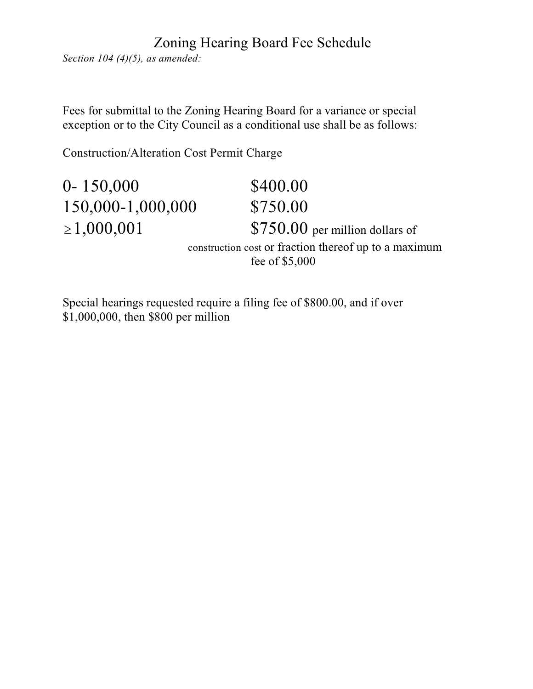## Zoning Hearing Board Fee Schedule

*Section 104 (4)(5), as amended:*

Fees for submittal to the Zoning Hearing Board for a variance or special exception or to the City Council as a conditional use shall be as follows:

Construction/Alteration Cost Permit Charge

| $0 - 150,000$                                                           | \$400.00                         |  |
|-------------------------------------------------------------------------|----------------------------------|--|
| 150,000-1,000,000                                                       | \$750.00                         |  |
| $\geq 1,000,001$                                                        | $$750.00$ per million dollars of |  |
| construction cost or fraction thereof up to a maximum<br>fee of \$5,000 |                                  |  |

Special hearings requested require a filing fee of \$800.00, and if over \$1,000,000, then \$800 per million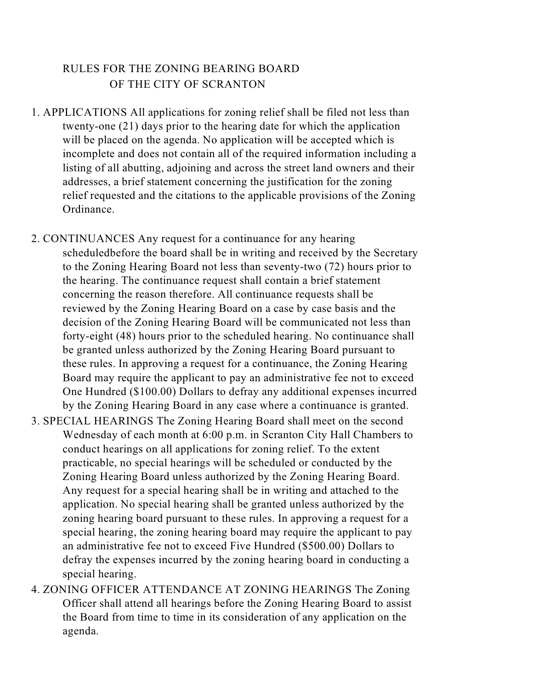## RULES FOR THE ZONING BEARING BOARD OF THE CITY OF SCRANTON

- 1. APPLICATIONS All applications for zoning relief shall be filed not less than twenty-one (21) days prior to the hearing date for which the application will be placed on the agenda. No application will be accepted which is incomplete and does not contain all of the required information including a listing of all abutting, adjoining and across the street land owners and their addresses, a brief statement concerning the justification for the zoning relief requested and the citations to the applicable provisions of the Zoning Ordinance.
- 2. CONTINUANCES Any request for a continuance for any hearing scheduledbefore the board shall be in writing and received by the Secretary to the Zoning Hearing Board not less than seventy-two (72) hours prior to the hearing. The continuance request shall contain a brief statement concerning the reason therefore. All continuance requests shall be reviewed by the Zoning Hearing Board on a case by case basis and the decision of the Zoning Hearing Board will be communicated not less than forty-eight (48) hours prior to the scheduled hearing. No continuance shall be granted unless authorized by the Zoning Hearing Board pursuant to these rules. In approving a request for a continuance, the Zoning Hearing Board may require the applicant to pay an administrative fee not to exceed One Hundred (\$100.00) Dollars to defray any additional expenses incurred by the Zoning Hearing Board in any case where a continuance is granted.
- 3. SPECIAL HEARINGS The Zoning Hearing Board shall meet on the second Wednesday of each month at 6:00 p.m. in Scranton City Hall Chambers to conduct hearings on all applications for zoning relief. To the extent practicable, no special hearings will be scheduled or conducted by the Zoning Hearing Board unless authorized by the Zoning Hearing Board. Any request for a special hearing shall be in writing and attached to the application. No special hearing shall be granted unless authorized by the zoning hearing board pursuant to these rules. In approving a request for a special hearing, the zoning hearing board may require the applicant to pay an administrative fee not to exceed Five Hundred (\$500.00) Dollars to defray the expenses incurred by the zoning hearing board in conducting a special hearing.
- 4. ZONING OFFICER ATTENDANCE AT ZONING HEARINGS The Zoning Officer shall attend all hearings before the Zoning Hearing Board to assist the Board from time to time in its consideration of any application on the agenda.